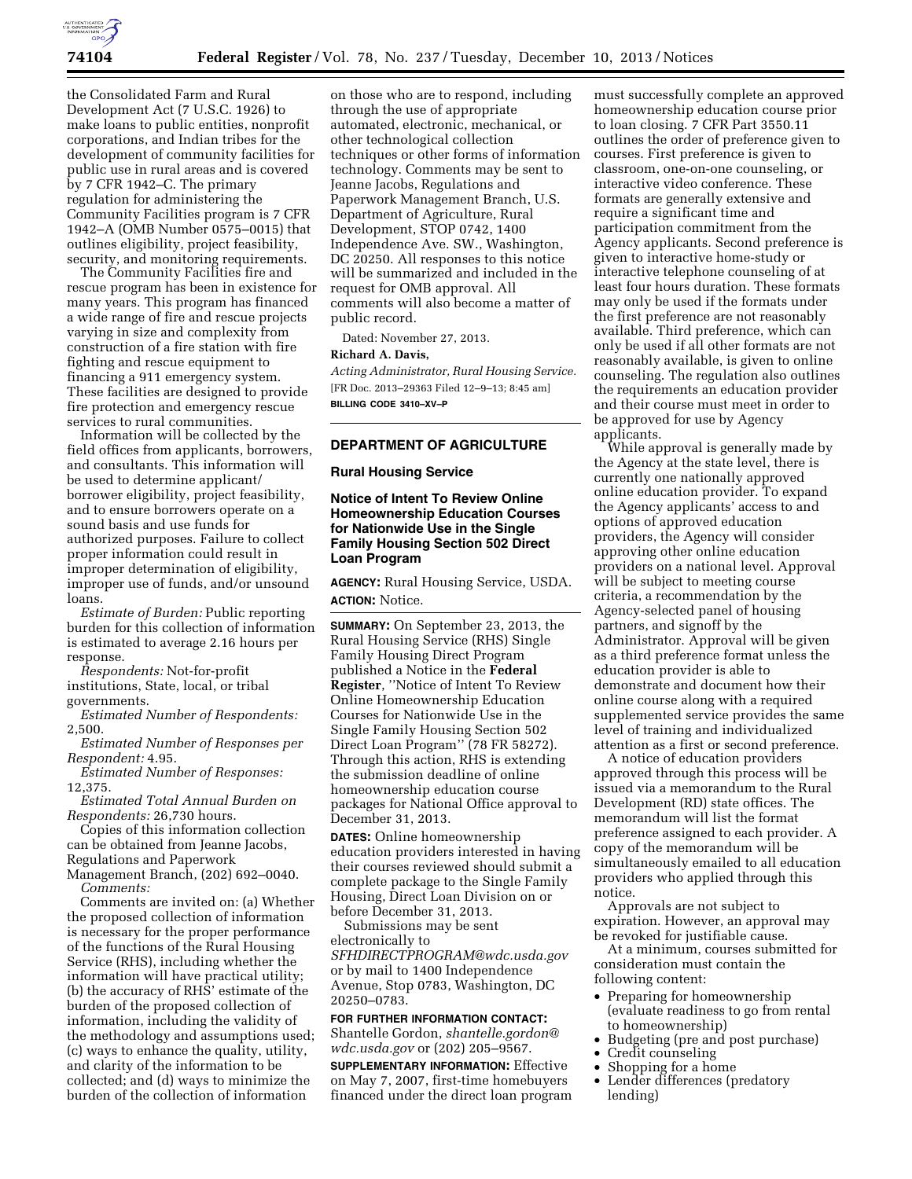

the Consolidated Farm and Rural Development Act (7 U.S.C. 1926) to make loans to public entities, nonprofit corporations, and Indian tribes for the development of community facilities for public use in rural areas and is covered by 7 CFR 1942–C. The primary regulation for administering the Community Facilities program is 7 CFR 1942–A (OMB Number 0575–0015) that outlines eligibility, project feasibility, security, and monitoring requirements.

The Community Facilities fire and rescue program has been in existence for many years. This program has financed a wide range of fire and rescue projects varying in size and complexity from construction of a fire station with fire fighting and rescue equipment to financing a 911 emergency system. These facilities are designed to provide fire protection and emergency rescue services to rural communities.

Information will be collected by the field offices from applicants, borrowers, and consultants. This information will be used to determine applicant/ borrower eligibility, project feasibility, and to ensure borrowers operate on a sound basis and use funds for authorized purposes. Failure to collect proper information could result in improper determination of eligibility, improper use of funds, and/or unsound loans.

*Estimate of Burden:* Public reporting burden for this collection of information is estimated to average 2.16 hours per response.

*Respondents:* Not-for-profit institutions, State, local, or tribal governments.

*Estimated Number of Respondents:*  2,500.

*Estimated Number of Responses per Respondent:* 4.95.

*Estimated Number of Responses:*  12,375.

*Estimated Total Annual Burden on Respondents:* 26,730 hours.

Copies of this information collection can be obtained from Jeanne Jacobs, Regulations and Paperwork

Management Branch, (202) 692–0040. *Comments:* 

Comments are invited on: (a) Whether the proposed collection of information is necessary for the proper performance of the functions of the Rural Housing Service (RHS), including whether the information will have practical utility; (b) the accuracy of RHS' estimate of the burden of the proposed collection of information, including the validity of the methodology and assumptions used; (c) ways to enhance the quality, utility, and clarity of the information to be collected; and (d) ways to minimize the burden of the collection of information

on those who are to respond, including through the use of appropriate automated, electronic, mechanical, or other technological collection techniques or other forms of information technology. Comments may be sent to Jeanne Jacobs, Regulations and Paperwork Management Branch, U.S. Department of Agriculture, Rural Development, STOP 0742, 1400 Independence Ave. SW., Washington, DC 20250. All responses to this notice will be summarized and included in the request for OMB approval. All comments will also become a matter of public record.

Dated: November 27, 2013.

# **Richard A. Davis,**

*Acting Administrator, Rural Housing Service.*  [FR Doc. 2013–29363 Filed 12–9–13; 8:45 am] **BILLING CODE 3410–XV–P** 

### **DEPARTMENT OF AGRICULTURE**

### **Rural Housing Service**

# **Notice of Intent To Review Online Homeownership Education Courses for Nationwide Use in the Single Family Housing Section 502 Direct Loan Program**

**AGENCY:** Rural Housing Service, USDA. **ACTION:** Notice.

**SUMMARY:** On September 23, 2013, the Rural Housing Service (RHS) Single Family Housing Direct Program published a Notice in the **Federal Register**, ''Notice of Intent To Review Online Homeownership Education Courses for Nationwide Use in the Single Family Housing Section 502 Direct Loan Program" (78 FR 58272). Through this action, RHS is extending the submission deadline of online homeownership education course packages for National Office approval to December 31, 2013.

**DATES:** Online homeownership education providers interested in having their courses reviewed should submit a complete package to the Single Family Housing, Direct Loan Division on or before December 31, 2013.

Submissions may be sent electronically to *[SFHDIRECTPROGRAM@wdc.usda.gov](mailto:SFHDIRECTPROGRAM@wdc.usda.gov)*  or by mail to 1400 Independence Avenue, Stop 0783, Washington, DC 20250–0783.

# **FOR FURTHER INFORMATION CONTACT:**

Shantelle Gordon, *[shantelle.gordon@](mailto:shantelle.gordon@wdc.usda.gov) [wdc.usda.gov](mailto:shantelle.gordon@wdc.usda.gov)* or (202) 205–9567.

**SUPPLEMENTARY INFORMATION:** Effective on May 7, 2007, first-time homebuyers financed under the direct loan program

must successfully complete an approved homeownership education course prior to loan closing. 7 CFR Part 3550.11 outlines the order of preference given to courses. First preference is given to classroom, one-on-one counseling, or interactive video conference. These formats are generally extensive and require a significant time and participation commitment from the Agency applicants. Second preference is given to interactive home-study or interactive telephone counseling of at least four hours duration. These formats may only be used if the formats under the first preference are not reasonably available. Third preference, which can only be used if all other formats are not reasonably available, is given to online counseling. The regulation also outlines the requirements an education provider and their course must meet in order to be approved for use by Agency applicants.

While approval is generally made by the Agency at the state level, there is currently one nationally approved online education provider. To expand the Agency applicants' access to and options of approved education providers, the Agency will consider approving other online education providers on a national level. Approval will be subject to meeting course criteria, a recommendation by the Agency-selected panel of housing partners, and signoff by the Administrator. Approval will be given as a third preference format unless the education provider is able to demonstrate and document how their online course along with a required supplemented service provides the same level of training and individualized attention as a first or second preference.

A notice of education providers approved through this process will be issued via a memorandum to the Rural Development (RD) state offices. The memorandum will list the format preference assigned to each provider. A copy of the memorandum will be simultaneously emailed to all education providers who applied through this notice.

Approvals are not subject to expiration. However, an approval may be revoked for justifiable cause.

At a minimum, courses submitted for consideration must contain the following content:

- Preparing for homeownership (evaluate readiness to go from rental to homeownership)
- Budgeting (pre and post purchase)
- Credit counseling
- Shopping for a home
- Lender differences (predatory lending)